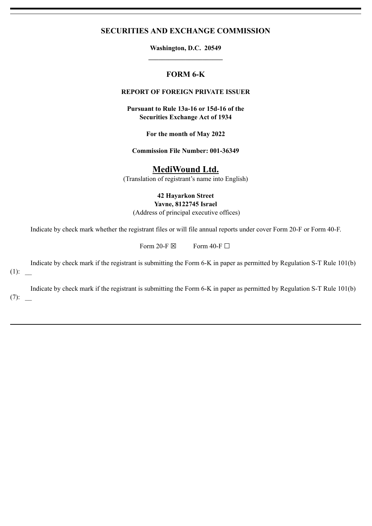## **SECURITIES AND EXCHANGE COMMISSION**

**Washington, D.C. 20549 \_\_\_\_\_\_\_\_\_\_\_\_\_\_\_\_\_\_\_\_\_\_**

# **FORM 6-K**

#### **REPORT OF FOREIGN PRIVATE ISSUER**

**Pursuant to Rule 13a-16 or 15d-16 of the Securities Exchange Act of 1934**

**For the month of May 2022**

**Commission File Number: 001-36349**

**MediWound Ltd.**

(Translation of registrant's name into English)

**42 Hayarkon Street Yavne, 8122745 Israel**

(Address of principal executive offices)

Indicate by check mark whether the registrant files or will file annual reports under cover Form 20-F or Form 40-F.

Form 20-F  $\boxtimes$  Form 40-F  $\Box$ 

Indicate by check mark if the registrant is submitting the Form 6-K in paper as permitted by Regulation S-T Rule 101(b)  $(1)$ :

Indicate by check mark if the registrant is submitting the Form 6-K in paper as permitted by Regulation S-T Rule 101(b)  $(7)$ :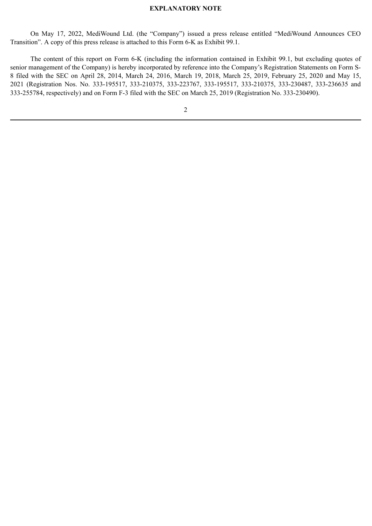#### **EXPLANATORY NOTE**

On May 17, 2022, MediWound Ltd. (the "Company") issued a press release entitled "MediWound Announces CEO Transition". A copy of this press release is attached to this Form 6-K as Exhibit 99.1.

The content of this report on Form 6-K (including the information contained in Exhibit 99.1, but excluding quotes of senior management of the Company) is hereby incorporated by reference into the Company's Registration Statements on Form S-8 filed with the SEC on April 28, 2014, March 24, 2016, March 19, 2018, March 25, 2019, February 25, 2020 and May 15, 2021 (Registration Nos. No. 333-195517, 333-210375, 333-223767, 333-195517, 333-210375, 333-230487, 333-236635 and 333-255784, respectively) and on Form F-3 filed with the SEC on March 25, 2019 (Registration No. 333-230490).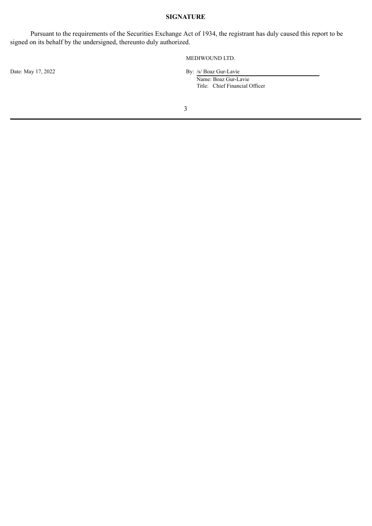#### **SIGNATURE**

Pursuant to the requirements of the Securities Exchange Act of 1934, the registrant has duly caused this report to be signed on its behalf by the undersigned, thereunto duly authorized.

MEDIWOUND LTD.

Date: May 17, 2022 By: /s/ Boaz Gur-Lavie

Name: Boaz Gur-Lavie Title: Chief Financial Officer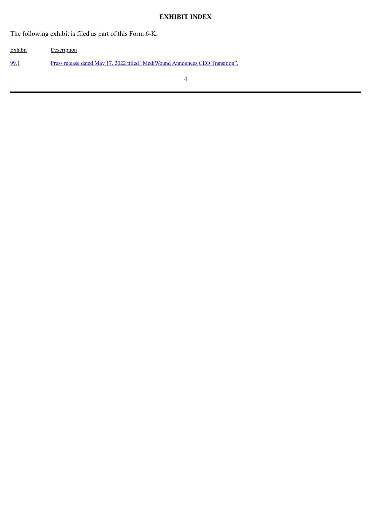#### **EXHIBIT INDEX**

The following exhibit is filed as part of this Form 6-K:

Exhibit [99.1](#page-4-0) **Description** Press release dated May 17, 2022 titled ["MediWound](#page-4-0) Announces CEO Transition".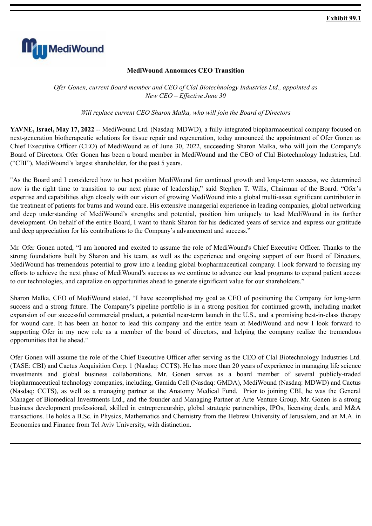<span id="page-4-0"></span>

#### **MediWound Announces CEO Transition**

*Ofer Gonen, current Board member and CEO of Clal Biotechnology Industries Ltd., appointed as New CEO – Effective June 30*

*Will replace current CEO Sharon Malka, who will join the Board of Directors*

**YAVNE, Israel, May 17, 2022** -- MediWound Ltd. (Nasdaq: MDWD), a fully-integrated biopharmaceutical company focused on next-generation biotherapeutic solutions for tissue repair and regeneration, today announced the appointment of Ofer Gonen as Chief Executive Officer (CEO) of MediWound as of June 30, 2022, succeeding Sharon Malka, who will join the Company's Board of Directors. Ofer Gonen has been a board member in MediWound and the CEO of Clal Biotechnology Industries, Ltd. ("CBI"), MediWound's largest shareholder, for the past 5 years.

"As the Board and I considered how to best position MediWound for continued growth and long-term success, we determined now is the right time to transition to our next phase of leadership," said Stephen T. Wills, Chairman of the Board. "Ofer's expertise and capabilities align closely with our vision of growing MediWound into a global multi-asset significant contributor in the treatment of patients for burns and wound care. His extensive managerial experience in leading companies, global networking and deep understanding of MediWound's strengths and potential, position him uniquely to lead MediWound in its further development. On behalf of the entire Board, I want to thank Sharon for his dedicated years of service and express our gratitude and deep appreciation for his contributions to the Company's advancement and success."

Mr. Ofer Gonen noted, "I am honored and excited to assume the role of MediWound's Chief Executive Officer. Thanks to the strong foundations built by Sharon and his team, as well as the experience and ongoing support of our Board of Directors, MediWound has tremendous potential to grow into a leading global biopharmaceutical company. I look forward to focusing my efforts to achieve the next phase of MediWound's success as we continue to advance our lead programs to expand patient access to our technologies, and capitalize on opportunities ahead to generate significant value for our shareholders."

Sharon Malka, CEO of MediWound stated, "I have accomplished my goal as CEO of positioning the Company for long-term success and a strong future. The Company's pipeline portfolio is in a strong position for continued growth, including market expansion of our successful commercial product, a potential near-term launch in the U.S., and a promising best-in-class therapy for wound care. It has been an honor to lead this company and the entire team at MediWound and now I look forward to supporting Ofer in my new role as a member of the board of directors, and helping the company realize the tremendous opportunities that lie ahead."

Ofer Gonen will assume the role of the Chief Executive Officer after serving as the CEO of Clal Biotechnology Industries Ltd. (TASE: CBI) and Cactus Acquisition Corp. 1 (Nasdaq: CCTS). He has more than 20 years of experience in managing life science investments and global business collaborations. Mr. Gonen serves as a board member of several publicly-traded biopharmaceutical technology companies, including, Gamida Cell (Nasdaq: GMDA), MediWound (Nasdaq: MDWD) and Cactus (Nasdaq: CCTS), as well as a managing partner at the Anatomy Medical Fund. Prior to joining CBI, he was the General Manager of Biomedical Investments Ltd., and the founder and Managing Partner at Arte Venture Group. Mr. Gonen is a strong business development professional, skilled in entrepreneurship, global strategic partnerships, IPOs, licensing deals, and M&A transactions. He holds a B.Sc. in Physics, Mathematics and Chemistry from the Hebrew University of Jerusalem, and an M.A. in Economics and Finance from Tel Aviv University, with distinction.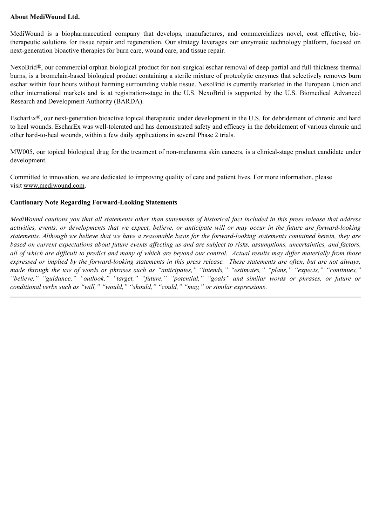### **About MediWound Ltd.**

MediWound is a biopharmaceutical company that develops, manufactures, and commercializes novel, cost effective, biotherapeutic solutions for tissue repair and regeneration. Our strategy leverages our enzymatic technology platform, focused on next-generation bioactive therapies for burn care, wound care, and tissue repair.

NexoBrid®, our commercial orphan biological product for non-surgical eschar removal of deep-partial and full-thickness thermal burns, is a bromelain-based biological product containing a sterile mixture of proteolytic enzymes that selectively removes burn eschar within four hours without harming surrounding viable tissue. NexoBrid is currently marketed in the European Union and other international markets and is at registration-stage in the U.S. NexoBrid is supported by the U.S. Biomedical Advanced Research and Development Authority (BARDA).

EscharEx®, our next-generation bioactive topical therapeutic under development in the U.S. for debridement of chronic and hard to heal wounds. EscharEx was well-tolerated and has demonstrated safety and efficacy in the debridement of various chronic and other hard-to-heal wounds, within a few daily applications in several Phase 2 trials.

MW005, our topical biological drug for the treatment of non-melanoma skin cancers, is a clinical-stage product candidate under development.

Committed to innovation, we are dedicated to improving quality of care and patient lives. For more information, please visit www.mediwound.com.

#### **Cautionary Note Regarding Forward-Looking Statements**

*MediWound cautions you that all statements other than statements of historical fact included in this press release that address activities, events, or developments that we expect, believe, or anticipate will or may occur in the future are forward-looking statements. Although we believe that we have a reasonable basis for the forward-looking statements contained herein, they are based on current expectations about future events affecting us and are subject to risks, assumptions, uncertainties, and factors, all of which are difficult to predict and many of which are beyond our control. Actual results may differ materially from those expressed or implied by the forward-looking statements in this press release. These statements are often, but are not always, made through the use of words or phrases such as "anticipates," "intends," "estimates," "plans," "expects," "continues," "believe," "guidance," "outlook," "target," "future," "potential," "goals" and similar words or phrases, or future or conditional verbs such as "will," "would," "should," "could," "may," or similar expressions*.